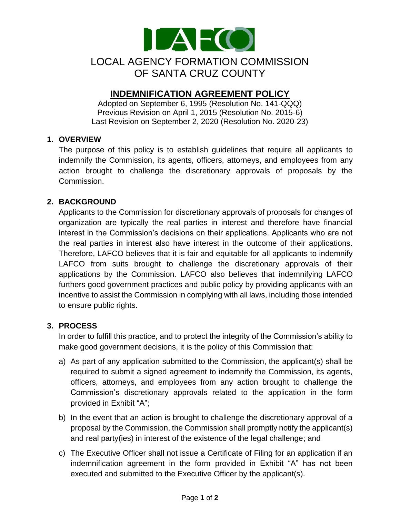

# **INDEMNIFICATION AGREEMENT POLICY**

Adopted on September 6, 1995 (Resolution No. 141-QQQ) Previous Revision on April 1, 2015 (Resolution No. 2015-6) Last Revision on September 2, 2020 (Resolution No. 2020-23)

# **1. OVERVIEW**

The purpose of this policy is to establish guidelines that require all applicants to indemnify the Commission, its agents, officers, attorneys, and employees from any action brought to challenge the discretionary approvals of proposals by the Commission.

# **2. BACKGROUND**

Applicants to the Commission for discretionary approvals of proposals for changes of organization are typically the real parties in interest and therefore have financial interest in the Commission's decisions on their applications. Applicants who are not the real parties in interest also have interest in the outcome of their applications. Therefore, LAFCO believes that it is fair and equitable for all applicants to indemnify LAFCO from suits brought to challenge the discretionary approvals of their applications by the Commission. LAFCO also believes that indemnifying LAFCO furthers good government practices and public policy by providing applicants with an incentive to assist the Commission in complying with all laws, including those intended to ensure public rights.

# **3. PROCESS**

In order to fulfill this practice, and to protect the integrity of the Commission's ability to make good government decisions, it is the policy of this Commission that:

- a) As part of any application submitted to the Commission, the applicant(s) shall be required to submit a signed agreement to indemnify the Commission, its agents, officers, attorneys, and employees from any action brought to challenge the Commission's discretionary approvals related to the application in the form provided in Exhibit "A";
- b) In the event that an action is brought to challenge the discretionary approval of a proposal by the Commission, the Commission shall promptly notify the applicant(s) and real party(ies) in interest of the existence of the legal challenge; and
- c) The Executive Officer shall not issue a Certificate of Filing for an application if an indemnification agreement in the form provided in Exhibit "A" has not been executed and submitted to the Executive Officer by the applicant(s).